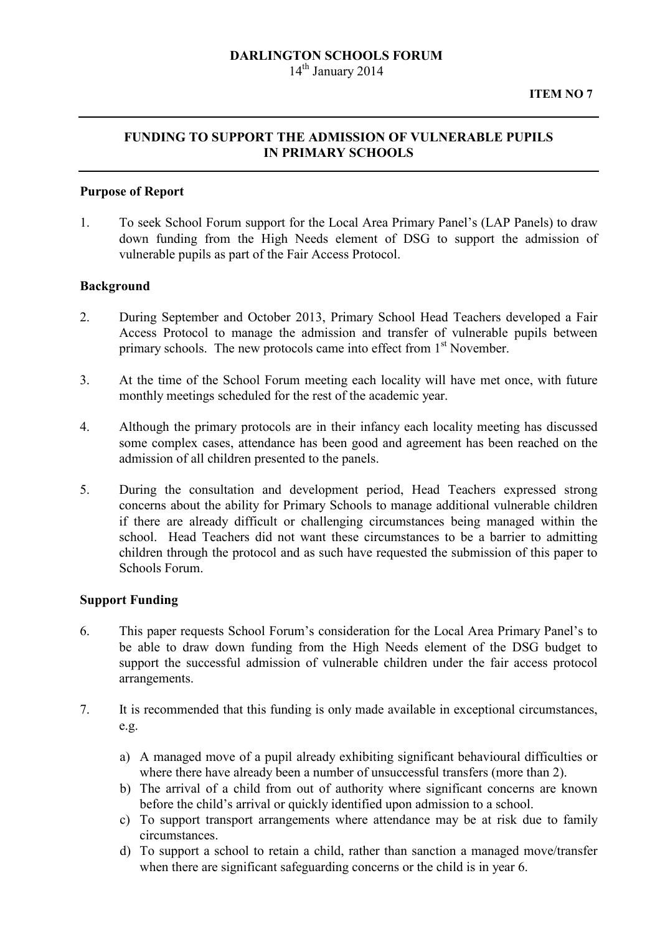### DARLINGTON SCHOOLS FORUM  $14<sup>th</sup>$  January 2014

# FUNDING TO SUPPORT THE ADMISSION OF VULNERABLE PUPILS IN PRIMARY SCHOOLS

### Purpose of Report

1. To seek School Forum support for the Local Area Primary Panel's (LAP Panels) to draw down funding from the High Needs element of DSG to support the admission of vulnerable pupils as part of the Fair Access Protocol.

## Background

- 2. During September and October 2013, Primary School Head Teachers developed a Fair Access Protocol to manage the admission and transfer of vulnerable pupils between primary schools. The new protocols came into effect from  $1<sup>st</sup>$  November.
- 3. At the time of the School Forum meeting each locality will have met once, with future monthly meetings scheduled for the rest of the academic year.
- 4. Although the primary protocols are in their infancy each locality meeting has discussed some complex cases, attendance has been good and agreement has been reached on the admission of all children presented to the panels.
- 5. During the consultation and development period, Head Teachers expressed strong concerns about the ability for Primary Schools to manage additional vulnerable children if there are already difficult or challenging circumstances being managed within the school. Head Teachers did not want these circumstances to be a barrier to admitting children through the protocol and as such have requested the submission of this paper to Schools Forum.

#### Support Funding

- 6. This paper requests School Forum's consideration for the Local Area Primary Panel's to be able to draw down funding from the High Needs element of the DSG budget to support the successful admission of vulnerable children under the fair access protocol arrangements.
- 7. It is recommended that this funding is only made available in exceptional circumstances, e.g.
	- a) A managed move of a pupil already exhibiting significant behavioural difficulties or where there have already been a number of unsuccessful transfers (more than 2).
	- b) The arrival of a child from out of authority where significant concerns are known before the child's arrival or quickly identified upon admission to a school.
	- c) To support transport arrangements where attendance may be at risk due to family circumstances.
	- d) To support a school to retain a child, rather than sanction a managed move/transfer when there are significant safeguarding concerns or the child is in year 6.